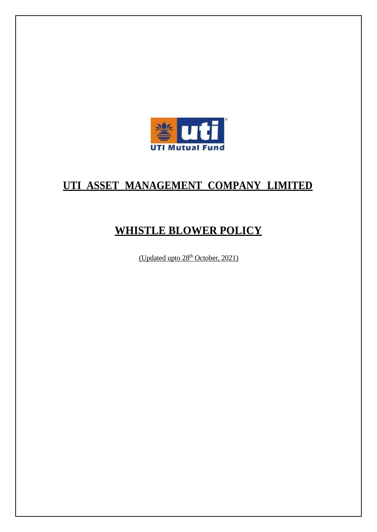

## **UTI ASSET MANAGEMENT COMPANY LIMITED**

# **WHISTLE BLOWER POLICY**

(Updated upto 28<sup>th</sup> October, 2021)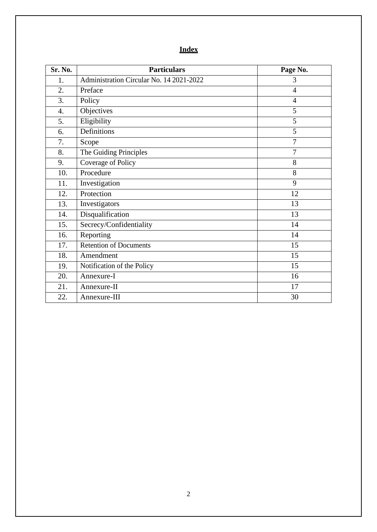## **Index**

| Sr. No. | <b>Particulars</b>                       | Page No.       |
|---------|------------------------------------------|----------------|
| 1.      | Administration Circular No. 14 2021-2022 | 3              |
| 2.      | Preface                                  | $\overline{4}$ |
| 3.      | Policy                                   | $\overline{4}$ |
| 4.      | Objectives                               | 5              |
| 5.      | Eligibility                              | 5              |
| 6.      | Definitions                              | 5              |
| 7.      | Scope                                    | $\overline{7}$ |
| 8.      | The Guiding Principles                   | $\overline{7}$ |
| 9.      | Coverage of Policy                       | 8              |
| 10.     | Procedure                                | 8              |
| 11.     | Investigation                            | 9              |
| 12.     | Protection                               | 12             |
| 13.     | Investigators                            | 13             |
| 14.     | Disqualification                         | 13             |
| 15.     | Secrecy/Confidentiality                  | 14             |
| 16.     | Reporting                                | 14             |
| 17.     | <b>Retention of Documents</b>            | 15             |
| 18.     | Amendment                                | 15             |
| 19.     | Notification of the Policy               | 15             |
| 20.     | Annexure-I                               | 16             |
| 21.     | Annexure-II                              | 17             |
| 22.     | Annexure-III                             | 30             |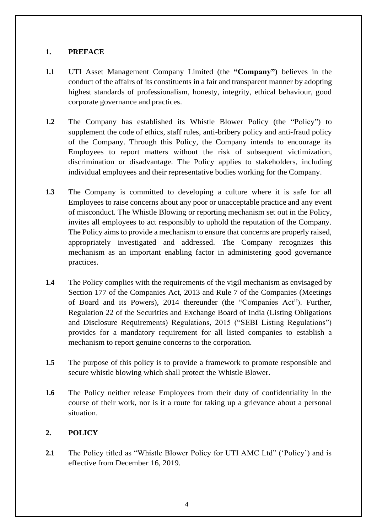## **1. PREFACE**

- **1.1** UTI Asset Management Company Limited (the **"Company")** believes in the conduct of the affairs of its constituents in a fair and transparent manner by adopting highest standards of professionalism, honesty, integrity, ethical behaviour, good corporate governance and practices.
- **1.2** The Company has established its Whistle Blower Policy (the "Policy") to supplement the code of ethics, staff rules, anti-bribery policy and anti-fraud policy of the Company. Through this Policy, the Company intends to encourage its Employees to report matters without the risk of subsequent victimization, discrimination or disadvantage. The Policy applies to stakeholders, including individual employees and their representative bodies working for the Company.
- **1.3** The Company is committed to developing a culture where it is safe for all Employees to raise concerns about any poor or unacceptable practice and any event of misconduct. The Whistle Blowing or reporting mechanism set out in the Policy, invites all employees to act responsibly to uphold the reputation of the Company. The Policy aims to provide a mechanism to ensure that concerns are properly raised, appropriately investigated and addressed. The Company recognizes this mechanism as an important enabling factor in administering good governance practices.
- **1.4** The Policy complies with the requirements of the vigil mechanism as envisaged by Section 177 of the Companies Act, 2013 and Rule 7 of the Companies (Meetings of Board and its Powers), 2014 thereunder (the "Companies Act"). Further, Regulation 22 of the Securities and Exchange Board of India (Listing Obligations and Disclosure Requirements) Regulations, 2015 ("SEBI Listing Regulations") provides for a mandatory requirement for all listed companies to establish a mechanism to report genuine concerns to the corporation.
- **1.5** The purpose of this policy is to provide a framework to promote responsible and secure whistle blowing which shall protect the Whistle Blower.
- **1.6** The Policy neither release Employees from their duty of confidentiality in the course of their work, nor is it a route for taking up a grievance about a personal situation.

## **2. POLICY**

**2.1** The Policy titled as "Whistle Blower Policy for UTI AMC Ltd" ('Policy') and is effective from December 16, 2019.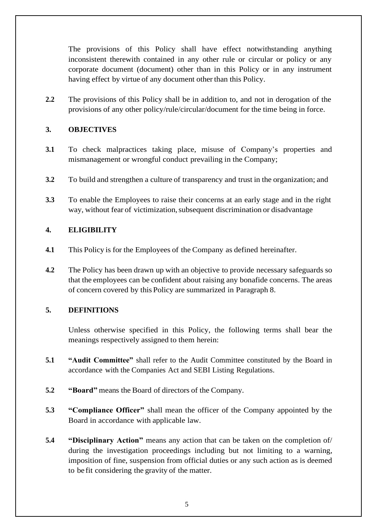The provisions of this Policy shall have effect notwithstanding anything inconsistent therewith contained in any other rule or circular or policy or any corporate document (document) other than in this Policy or in any instrument having effect by virtue of any document other than this Policy.

**2.2** The provisions of this Policy shall be in addition to, and not in derogation of the provisions of any other policy/rule/circular/document for the time being in force.

## **3. OBJECTIVES**

- **3.1** To check malpractices taking place, misuse of Company's properties and mismanagement or wrongful conduct prevailing in the Company;
- **3.2** To build and strengthen a culture of transparency and trust in the organization; and
- **3.3** To enable the Employees to raise their concerns at an early stage and in the right way, without fear of victimization, subsequent discrimination or disadvantage

#### **4. ELIGIBILITY**

- **4.1** This Policy is for the Employees of the Company as defined hereinafter.
- **4.2** The Policy has been drawn up with an objective to provide necessary safeguards so that the employees can be confident about raising any bonafide concerns. The areas of concern covered by this Policy are summarized in Paragraph 8.

#### **5. DEFINITIONS**

Unless otherwise specified in this Policy, the following terms shall bear the meanings respectively assigned to them herein:

- **5.1 "Audit Committee"** shall refer to the Audit Committee constituted by the Board in accordance with the Companies Act and SEBI Listing Regulations.
- **5.2 "Board"** means the Board of directors of the Company.
- **5.3 "Compliance Officer"** shall mean the officer of the Company appointed by the Board in accordance with applicable law.
- **5.4 "Disciplinary Action"** means any action that can be taken on the completion of/ during the investigation proceedings including but not limiting to a warning, imposition of fine, suspension from official duties or any such action as is deemed to be fit considering the gravity of the matter.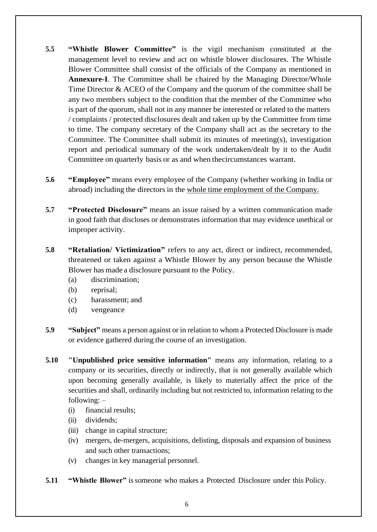- **5.5 "Whistle Blower Committee"** is the vigil mechanism constituted at the management level to review and act on whistle blower disclosures. The Whistle Blower Committee shall consist of the officials of the Company as mentioned in **Annexure-I**. The Committee shall be chaired by the Managing Director/Whole Time Director & ACEO of the Company and the quorum of the committee shall be any two members subject to the condition that the member of the Committee who is part of the quorum, shall not in any manner be interested or related to the matters / complaints / protected disclosures dealt and taken up by the Committee from time to time. The company secretary of the Company shall act as the secretary to the Committee. The Committee shall submit its minutes of meeting(s), investigation report and periodical summary of the work undertaken/dealt by it to the Audit Committee on quarterly basis or as and when thecircumstances warrant.
- **5.6 "Employee"** means every employee of the Company (whether working in India or abroad) including the directors in the whole time employment of the Company.
- **5.7 "Protected Disclosure"** means an issue raised by a written communication made in good faith that discloses or demonstrates information that may evidence unethical or improper activity.
- **5.8 "Retaliation/ Victimization"** refers to any act, direct or indirect, recommended, threatened or taken against a Whistle Blower by any person because the Whistle Blower has made a disclosure pursuant to the Policy.
	- (a) discrimination;
	- (b) reprisal;
	- (c) harassment; and
	- (d) vengeance
- **5.9 "Subject"** means a person against or in relation to whom a Protected Disclosure is made or evidence gathered during the course of an investigation.
- **5.10 "Unpublished price sensitive information"** means any information, relating to a company or its securities, directly or indirectly, that is not generally available which upon becoming generally available, is likely to materially affect the price of the securities and shall, ordinarily including but not restricted to, information relating to the following: –
	- (i) financial results;
	- (ii) dividends;
	- (iii) change in capital structure;
	- (iv) mergers, de-mergers, acquisitions, delisting, disposals and expansion of business and such other transactions;
	- (v) changes in key managerial personnel.
- **5.11 "Whistle Blower"** is some one who makes a Protected Disclosure under this Policy.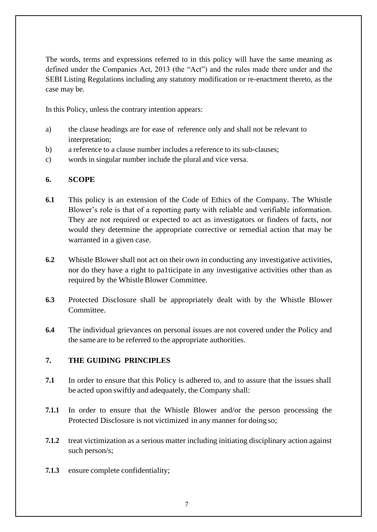The words, terms and expressions referred to in this policy will have the same meaning as defined under the Companies Act, 2013 (the "Act") and the rules made there under and the SEBI Listing Regulations including any statutory modification or re-enactment thereto, as the case may be.

In this Policy, unless the contrary intention appears:

- a) the clause headings are for ease of reference only and shall not be relevant to interpretation;
- b) a reference to a clause number includes a reference to its sub-clauses;
- c) words in singular number include the plural and vice versa.

## **6. SCOPE**

- **6.1** This policy is an extension of the Code of Ethics of the Company. The Whistle Blower's role is that of a reporting party with reliable and verifiable information. They are not required or expected to act as investigators or finders of facts, nor would they determine the appropriate corrective or remedial action that may be warranted in a given case.
- **6.2** Whistle Blower shall not act on their own in conducting any investigative activities, nor do they have a right to pa1ticipate in any investigative activities other than as required by the Whistle Blower Committee.
- **6.3** Protected Disclosure shall be appropriately dealt with by the Whistle Blower Committee.
- **6.4** The individual grievances on personal issues are not covered under the Policy and the same are to be referred to the appropriate authorities.

## **7. THE GUIDING PRINCIPLES**

- **7.1** In order to ensure that this Policy is adhered to, and to assure that the issues shall be acted upon swiftly and adequately, the Company shall:
- **7.1.1** In order to ensure that the Whistle Blower and/or the person processing the Protected Disclosure is not victimized in any manner for doing so;
- **7.1.2** treat victimization as a serious matter including initiating disciplinary action against such person/s;
- **7.1.3** ensure complete confidentiality;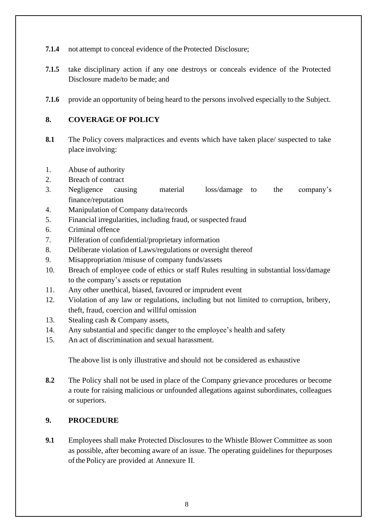- **7.1.4** not attempt to conceal evidence of the Protected Disclosure;
- **7.1.5** take disciplinary action if any one destroys or conceals evidence of the Protected Disclosure made/to be made; and
- **7.1.6** provide an opportunity of being heard to the persons involved especially to the Subject.

## **8. COVERAGE OF POLICY**

- **8.1** The Policy covers malpractices and events which have taken place/ suspected to take place involving:
- 1. Abuse of authority
- 2. Breach of contract
- 3. Negligence causing material loss/damage to the company's finance/reputation
- 4. Manipulation of Company data/records
- 5. Financial irregularities, including fraud, or suspected fraud
- 6. Criminal offence
- 7. Pilferation of confidential/proprietary information
- 8. Deliberate violation of Laws/regulations or oversight thereof
- 9. Misappropriation /misuse of company funds/assets
- 10. Breach of employee code of ethics or staff Rules resulting in substantial loss/damage to the company's assets or reputation
- 11. Any other unethical, biased, favoured or imprudent event
- 12. Violation of any law or regulations, including but not limited to corruption, bribery, theft, fraud, coercion and willful omission
- 13. Stealing cash & Company assets,
- 14. Any substantial and specific danger to the employee's health and safety
- 15. An act of discrimination and sexual harassment.

The above list is only illustrative and should not be considered as exhaustive

**8.2** The Policy shall not be used in place of the Company grievance procedures or become a route for raising malicious or unfounded allegations against subordinates, colleagues or superiors.

#### **9. PROCEDURE**

**9.1** Employees shall make Protected Disclosures to the Whistle Blower Committee as soon as possible, after becoming aware of an issue. The operating guidelines for thepurposes ofthe Policy are provided at Annexure II.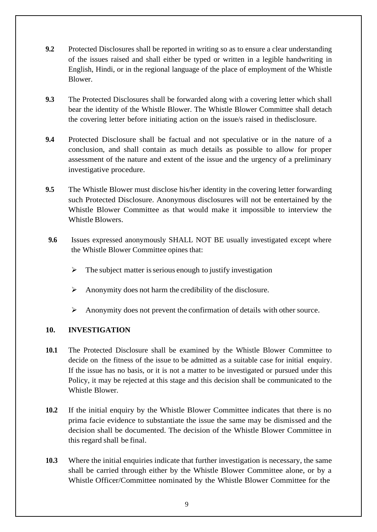- **9.2** Protected Disclosures shall be reported in writing so as to ensure a clear understanding of the issues raised and shall either be typed or written in a legible handwriting in English, Hindi, or in the regional language of the place of employment of the Whistle Blower.
- **9.3** The Protected Disclosures shall be forwarded along with a covering letter which shall bear the identity of the Whistle Blower. The Whistle Blower Committee shall detach the covering letter before initiating action on the issue/s raised in thedisclosure.
- **9.4** Protected Disclosure shall be factual and not speculative or in the nature of a conclusion, and shall contain as much details as possible to allow for proper assessment of the nature and extent of the issue and the urgency of a preliminary investigative procedure.
- **9.5** The Whistle Blower must disclose his/her identity in the covering letter forwarding such Protected Disclosure. Anonymous disclosures will not be entertained by the Whistle Blower Committee as that would make it impossible to interview the Whistle Blowers.
- **9.6** Issues expressed anonymously SHALL NOT BE usually investigated except where the Whistle Blower Committee opines that:
	- $\triangleright$  The subject matter is serious enough to justify investigation
	- ➢ Anonymity does not harm the credibility of the disclosure.
	- $\triangleright$  Anonymity does not prevent the confirmation of details with other source.

## **10. INVESTIGATION**

- **10.1** The Protected Disclosure shall be examined by the Whistle Blower Committee to decide on the fitness of the issue to be admitted as a suitable case for initial enquiry. If the issue has no basis, or it is not a matter to be investigated or pursued under this Policy, it may be rejected at this stage and this decision shall be communicated to the Whistle Blower.
- **10.2** If the initial enquiry by the Whistle Blower Committee indicates that there is no prima facie evidence to substantiate the issue the same may be dismissed and the decision shall be documented. The decision of the Whistle Blower Committee in this regard shall be final.
- **10.3** Where the initial enquiries indicate that further investigation is necessary, the same shall be carried through either by the Whistle Blower Committee alone, or by a Whistle Officer/Committee nominated by the Whistle Blower Committee for the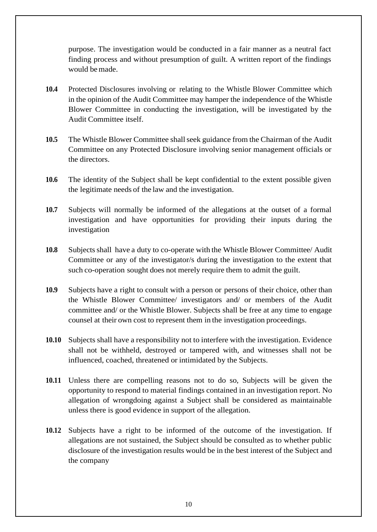purpose. The investigation would be conducted in a fair manner as a neutral fact finding process and without presumption of guilt. A written report of the findings would bemade.

- **10.4** Protected Disclosures involving or relating to the Whistle Blower Committee which in the opinion of the Audit Committee may hamper the independence of the Whistle Blower Committee in conducting the investigation, will be investigated by the Audit Committee itself.
- **10.5** The Whistle Blower Committee shall seek guidance from the Chairman of the Audit Committee on any Protected Disclosure involving senior management officials or the directors.
- **10.6** The identity of the Subject shall be kept confidential to the extent possible given the legitimate needs of the law and the investigation.
- **10.7** Subjects will normally be informed of the allegations at the outset of a formal investigation and have opportunities for providing their inputs during the investigation
- **10.8** Subjects shall have a duty to co-operate with the Whistle Blower Committee/ Audit Committee or any of the investigator/s during the investigation to the extent that such co-operation sought does not merely require them to admit the guilt.
- **10.9** Subjects have a right to consult with a person or persons of their choice, other than the Whistle Blower Committee/ investigators and/ or members of the Audit committee and/ or the Whistle Blower. Subjects shall be free at any time to engage counsel at their own cost to represent them in the investigation proceedings.
- **10.10** Subjects shall have a responsibility not to interfere with the investigation. Evidence shall not be withheld, destroyed or tampered with, and witnesses shall not be influenced, coached, threatened or intimidated by the Subjects.
- **10.11** Unless there are compelling reasons not to do so, Subjects will be given the opportunity to respond to material findings contained in an investigation report. No allegation of wrongdoing against a Subject shall be considered as maintainable unless there is good evidence in support of the allegation.
- **10.12** Subjects have a right to be informed of the outcome of the investigation. If allegations are not sustained, the Subject should be consulted as to whether public disclosure of the investigation results would be in the best interest of the Subject and the company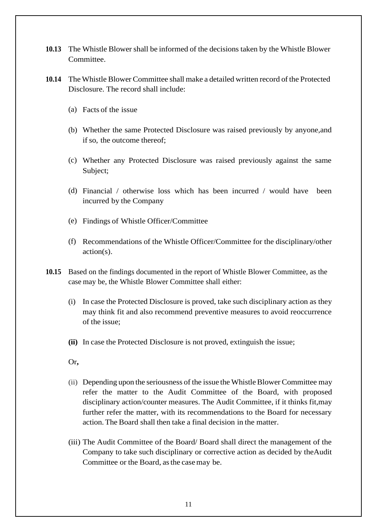- **10.13** The Whistle Blower shall be informed of the decisions taken by the Whistle Blower Committee.
- **10.14** The Whistle Blower Committee shall make a detailed written record of the Protected Disclosure. The record shall include:
	- (a) Facts of the issue
	- (b) Whether the same Protected Disclosure was raised previously by anyone,and if so, the outcome thereof;
	- (c) Whether any Protected Disclosure was raised previously against the same Subject;
	- (d) Financial / otherwise loss which has been incurred / would have been incurred by the Company
	- (e) Findings of Whistle Officer/Committee
	- (f) Recommendations of the Whistle Officer/Committee for the disciplinary/other action(s).
- **10.15** Based on the findings documented in the report of Whistle Blower Committee, as the case may be, the Whistle Blower Committee shall either:
	- (i) In case the Protected Disclosure is proved, take such disciplinary action as they may think fit and also recommend preventive measures to avoid reoccurrence of the issue;
	- **(ii)** In case the Protected Disclosure is not proved, extinguish the issue;
	- Or**,**
	- (ii) Depending upon the seriousness of the issue the Whistle Blower Committee may refer the matter to the Audit Committee of the Board, with proposed disciplinary action/counter measures. The Audit Committee, if it thinks fit,may further refer the matter, with its recommendations to the Board for necessary action. The Board shall then take a final decision in the matter.
	- (iii) The Audit Committee of the Board/ Board shall direct the management of the Company to take such disciplinary or corrective action as decided by theAudit Committee or the Board, asthe casemay be.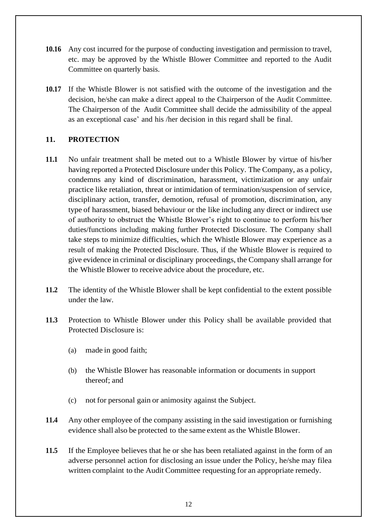- **10.16** Any cost incurred for the purpose of conducting investigation and permission to travel, etc. may be approved by the Whistle Blower Committee and reported to the Audit Committee on quarterly basis.
- **10.17** If the Whistle Blower is not satisfied with the outcome of the investigation and the decision, he/she can make a direct appeal to the Chairperson of the Audit Committee. The Chairperson of the Audit Committee shall decide the admissibility of the appeal as an exceptional case' and his /her decision in this regard shall be final.

#### **11. PROTECTION**

- **11.1** No unfair treatment shall be meted out to a Whistle Blower by virtue of his/her having reported a Protected Disclosure under this Policy. The Company, as a policy, condemns any kind of discrimination, harassment, victimization or any unfair practice like retaliation, threat or intimidation of termination/suspension of service, disciplinary action, transfer, demotion, refusal of promotion, discrimination, any type of harassment, biased behaviour or the like including any direct or indirect use of authority to obstruct the Whistle Blower's right to continue to perform his/her duties/functions including making further Protected Disclosure. The Company shall take steps to minimize difficulties, which the Whistle Blower may experience as a result of making the Protected Disclosure. Thus, if the Whistle Blower is required to give evidence in criminal or disciplinary proceedings, the Company shall arrange for the Whistle Blower to receive advice about the procedure, etc.
- **11.2** The identity of the Whistle Blower shall be kept confidential to the extent possible under the law.
- **11.3** Protection to Whistle Blower under this Policy shall be available provided that Protected Disclosure is:
	- (a) made in good faith;
	- (b) the Whistle Blower has reasonable information or documents in support thereof; and
	- (c) not for personal gain or animosity against the Subject.
- **11.4** Any other employee of the company assisting in the said investigation or furnishing evidence shall also be protected to the same extent as the Whistle Blower.
- **11.5** If the Employee believes that he or she has been retaliated against in the form of an adverse personnel action for disclosing an issue under the Policy, he/she may filea written complaint to the Audit Committee requesting for an appropriate remedy.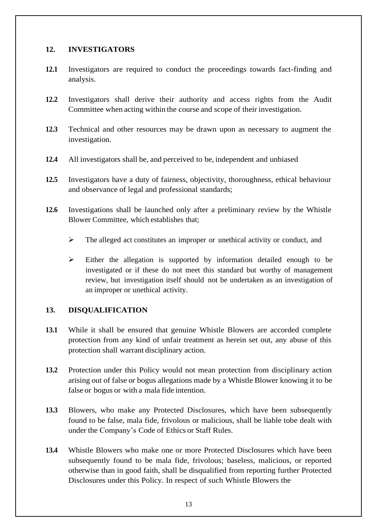#### **12. INVESTIGATORS**

- **12.1** Investigators are required to conduct the proceedings towards fact-finding and analysis.
- **12.2** Investigators shall derive their authority and access rights from the Audit Committee when acting within the course and scope of their investigation.
- **12.3** Technical and other resources may be drawn upon as necessary to augment the investigation.
- **12.4** All investigators shall be, and perceived to be, independent and unbiased
- **12.5** Investigators have a duty of fairness, objectivity, thoroughness, ethical behaviour and observance of legal and professional standards;
- **12.6** Investigations shall be launched only after a preliminary review by the Whistle Blower Committee, which establishes that;
	- ➢ The alleged act constitutes an improper or unethical activity or conduct, and
	- ➢ Either the allegation is supported by information detailed enough to be investigated or if these do not meet this standard but worthy of management review, but investigation itself should not be undertaken as an investigation of an improper or unethical activity.

## **13. DISQUALIFICATION**

- **13.1** While it shall be ensured that genuine Whistle Blowers are accorded complete protection from any kind of unfair treatment as herein set out, any abuse of this protection shall warrant disciplinary action.
- **13.2** Protection under this Policy would not mean protection from disciplinary action arising out of false or bogus allegations made by a Whistle Blower knowing it to be false or bogus or with a mala fide intention.
- **13.3** Blowers, who make any Protected Disclosures, which have been subsequently found to be false, mala fide, frivolous or malicious, shall be liable tobe dealt with under the Company's Code of Ethics or Staff Rules.
- **13.4** Whistle Blowers who make one or more Protected Disclosures which have been subsequently found to be mala fide, frivolous; baseless, malicious, or reported otherwise than in good faith, shall be disqualified from reporting further Protected Disclosures under this Policy. In respect of such Whistle Blowers the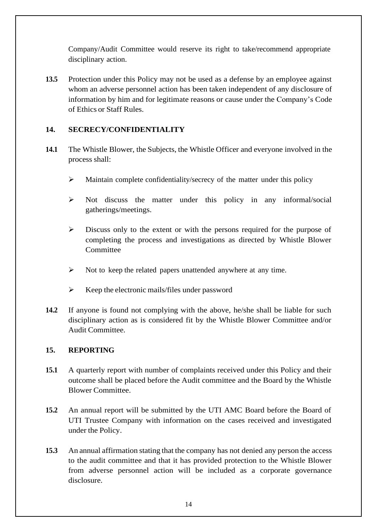Company/Audit Committee would reserve its right to take/recommend appropriate disciplinary action.

**13.5** Protection under this Policy may not be used as a defense by an employee against whom an adverse personnel action has been taken independent of any disclosure of information by him and for legitimate reasons or cause under the Company's Code of Ethics or Staff Rules.

## **14. SECRECY/CONFIDENTIALITY**

- **14.1** The Whistle Blower, the Subjects, the Whistle Officer and everyone involved in the process shall:
	- ➢ Maintain complete confidentiality/secrecy of the matter under this policy
	- ➢ Not discuss the matter under this policy in any informal/social gatherings/meetings.
	- ➢ Discuss only to the extent or with the persons required for the purpose of completing the process and investigations as directed by Whistle Blower Committee
	- ➢ Not to keep the related papers unattended anywhere at any time.
	- $\triangleright$  Keep the electronic mails/files under password
- **14.2** If anyone is found not complying with the above, he/she shall be liable for such disciplinary action as is considered fit by the Whistle Blower Committee and/or Audit Committee.

#### **15. REPORTING**

- **15.1** A quarterly report with number of complaints received under this Policy and their outcome shall be placed before the Audit committee and the Board by the Whistle Blower Committee.
- **15.2** An annual report will be submitted by the UTI AMC Board before the Board of UTI Trustee Company with information on the cases received and investigated under the Policy.
- **15.3** An annual affirmation stating that the company has not denied any person the access to the audit committee and that it has provided protection to the Whistle Blower from adverse personnel action will be included as a corporate governance disclosure.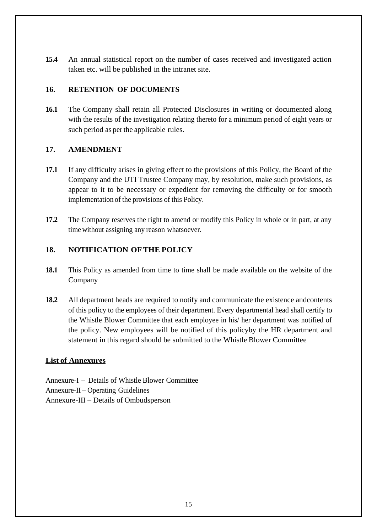**15.4** An annual statistical report on the number of cases received and investigated action taken etc. will be published in the intranet site.

## **16. RETENTION OF DOCUMENTS**

**16.1** The Company shall retain all Protected Disclosures in writing or documented along with the results of the investigation relating thereto for a minimum period of eight years or such period as perthe applicable rules.

## **17. AMENDMENT**

- **17.1** If any difficulty arises in giving effect to the provisions of this Policy, the Board of the Company and the UTI Trustee Company may, by resolution, make such provisions, as appear to it to be necessary or expedient for removing the difficulty or for smooth implementation of the provisions of this Policy.
- **17.2** The Company reserves the right to amend or modify this Policy in whole or in part, at any time without assigning any reason whatsoever.

## **18. NOTIFICATION OFTHE POLICY**

- **18.1** This Policy as amended from time to time shall be made available on the website of the Company
- **18.2** All department heads are required to notify and communicate the existence andcontents of this policy to the employees of their department. Every departmental head shall certify to the Whistle Blower Committee that each employee in his/ her department was notified of the policy. New employees will be notified of this policyby the HR department and statement in this regard should be submitted to the Whistle Blower Committee

#### **List of Annexures**

Annexure-I **–** Details of Whistle Blower Committee Annexure-II – Operating Guidelines Annexure-III – Details of Ombudsperson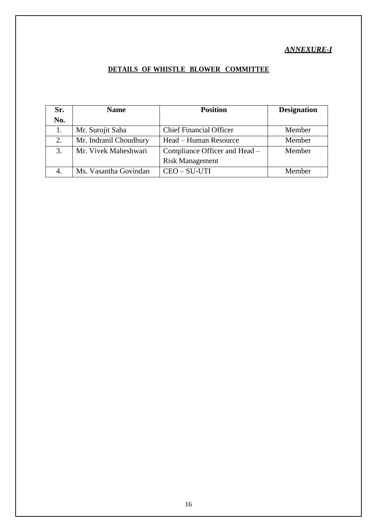## **DETAILS OF WHISTLE BLOWER COMMITTEE**

| Sr. | <b>Name</b>            | <b>Position</b>                | <b>Designation</b> |
|-----|------------------------|--------------------------------|--------------------|
| No. |                        |                                |                    |
|     | Mr. Surojit Saha       | <b>Chief Financial Officer</b> | Member             |
| 2.  | Mr. Indranil Choudhury | Head – Human Resource          | Member             |
| 3.  | Mr. Vivek Maheshwari   | Compliance Officer and Head –  | Member             |
|     |                        | <b>Risk Management</b>         |                    |
| 4.  | Ms. Vasantha Govindan  | CEO - SU-UTI                   | Member             |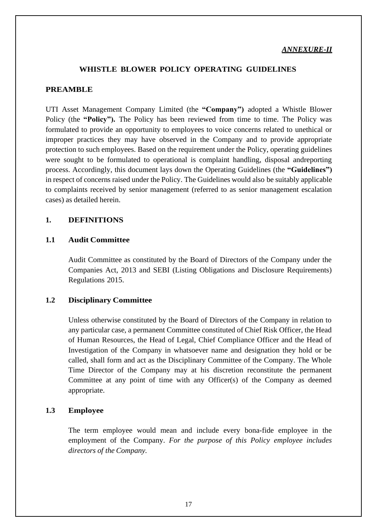#### *ANNEXURE***-***II*

#### **WHISTLE BLOWER POLICY OPERATING GUIDELINES**

#### **PREAMBLE**

UTI Asset Management Company Limited (the **"Company")** adopted a Whistle Blower Policy (the **"Policy").** The Policy has been reviewed from time to time. The Policy was formulated to provide an opportunity to employees to voice concerns related to unethical or improper practices they may have observed in the Company and to provide appropriate protection to such employees. Based on the requirement under the Policy, operating guidelines were sought to be formulated to operational is complaint handling, disposal andreporting process. Accordingly, this document lays down the Operating Guidelines (the **"Guidelines")** in respect of concerns raised under the Policy. The Guidelines would also be suitably applicable to complaints received by senior management (referred to as senior management escalation cases) as detailed herein.

#### **1. DEFINITIONS**

#### **1.1 Audit Committee**

Audit Committee as constituted by the Board of Directors of the Company under the Companies Act, 2013 and SEBI (Listing Obligations and Disclosure Requirements) Regulations 2015.

#### **1.2 Disciplinary Committee**

Unless otherwise constituted by the Board of Directors of the Company in relation to any particular case, a permanent Committee constituted of Chief Risk Officer, the Head of Human Resources, the Head of Legal, Chief Compliance Officer and the Head of Investigation of the Company in whatsoever name and designation they hold or be called, shall form and act as the Disciplinary Committee of the Company. The Whole Time Director of the Company may at his discretion reconstitute the permanent Committee at any point of time with any Officer(s) of the Company as deemed appropriate.

#### **1.3 Employee**

The term employee would mean and include every bona-fide employee in the employment of the Company. *For the purpose of this Policy employee includes directors of the Company.*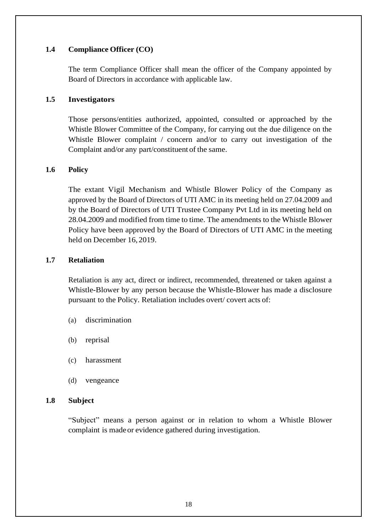#### **1.4 Compliance Officer (CO)**

The term Compliance Officer shall mean the officer of the Company appointed by Board of Directors in accordance with applicable law.

#### **1.5 Investigators**

Those persons/entities authorized, appointed, consulted or approached by the Whistle Blower Committee of the Company, for carrying out the due diligence on the Whistle Blower complaint / concern and/or to carry out investigation of the Complaint and/or any part/constituent of the same.

#### **1.6 Policy**

The extant Vigil Mechanism and Whistle Blower Policy of the Company as approved by the Board of Directors of UTI AMC in its meeting held on 27.04.2009 and by the Board of Directors of UTI Trustee Company Pvt Ltd in its meeting held on 28.04.2009 and modified from time to time. The amendments to the Whistle Blower Policy have been approved by the Board of Directors of UTI AMC in the meeting held on December 16, 2019.

#### **1.7 Retaliation**

Retaliation is any act, direct or indirect, recommended, threatened or taken against a Whistle-Blower by any person because the Whistle-Blower has made a disclosure pursuant to the Policy. Retaliation includes overt/ covert acts of:

- (a) discrimination
- (b) reprisal
- (c) harassment
- (d) vengeance

#### **1.8 Subject**

"Subject" means a person against or in relation to whom a Whistle Blower complaint is madeor evidence gathered during investigation.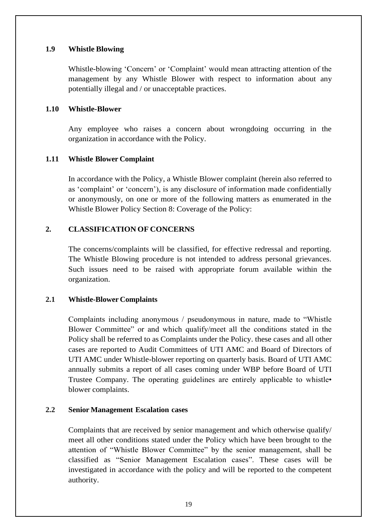#### **1.9 Whistle Blowing**

Whistle-blowing 'Concern' or 'Complaint' would mean attracting attention of the management by any Whistle Blower with respect to information about any potentially illegal and / or unacceptable practices.

#### **1.10 Whistle-Blower**

Any employee who raises a concern about wrongdoing occurring in the organization in accordance with the Policy.

#### **1.11 Whistle Blower Complaint**

In accordance with the Policy, a Whistle Blower complaint (herein also referred to as 'complaint' or 'concern'), is any disclosure of information made confidentially or anonymously, on one or more of the following matters as enumerated in the Whistle Blower Policy Section 8: Coverage of the Policy:

#### **2. CLASSIFICATION OF CONCERNS**

The concerns/complaints will be classified, for effective redressal and reporting. The Whistle Blowing procedure is not intended to address personal grievances. Such issues need to be raised with appropriate forum available within the organization.

#### **2.1 Whistle-Blower Complaints**

Complaints including anonymous / pseudonymous in nature, made to "Whistle Blower Committee" or and which qualify/meet all the conditions stated in the Policy shall be referred to as Complaints under the Policy. these cases and all other cases are reported to Audit Committees of UTI AMC and Board of Directors of UTI AMC under Whistle-blower reporting on quarterly basis. Board of UTI AMC annually submits a report of all cases coming under WBP before Board of UTI Trustee Company. The operating guidelines are entirely applicable to whistle• blower complaints.

#### **2.2 Senior Management Escalation cases**

Complaints that are received by senior management and which otherwise qualify/ meet all other conditions stated under the Policy which have been brought to the attention of "Whistle Blower Committee" by the senior management, shall be classified as "Senior Management Escalation cases". These cases will be investigated in accordance with the policy and will be reported to the competent authority.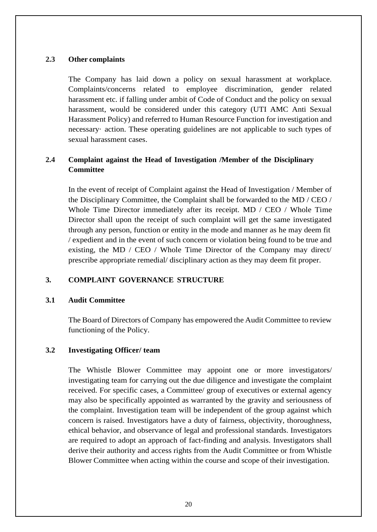#### **2.3 Other complaints**

The Company has laid down a policy on sexual harassment at workplace. Complaints/concerns related to employee discrimination, gender related harassment etc. if falling under ambit of Code of Conduct and the policy on sexual harassment, would be considered under this category (UTI AMC Anti Sexual Harassment Policy) and referred to Human Resource Function for investigation and necessary· action. These operating guidelines are not applicable to such types of sexual harassment cases.

## **2.4 Complaint against the Head of Investigation /Member of the Disciplinary Committee**

In the event of receipt of Complaint against the Head of Investigation / Member of the Disciplinary Committee, the Complaint shall be forwarded to the MD / CEO / Whole Time Director immediately after its receipt. MD / CEO / Whole Time Director shall upon the receipt of such complaint will get the same investigated through any person, function or entity in the mode and manner as he may deem fit / expedient and in the event of such concern or violation being found to be true and existing, the MD / CEO / Whole Time Director of the Company may direct/ prescribe appropriate remedial/ disciplinary action as they may deem fit proper.

## **3. COMPLAINT GOVERNANCE STRUCTURE**

#### **3.1 Audit Committee**

The Board of Directors of Company has empowered the Audit Committee to review functioning of the Policy.

#### **3.2 Investigating Officer/ team**

The Whistle Blower Committee may appoint one or more investigators/ investigating team for carrying out the due diligence and investigate the complaint received. For specific cases, a Committee/ group of executives or external agency may also be specifically appointed as warranted by the gravity and seriousness of the complaint. Investigation team will be independent of the group against which concern is raised. Investigators have a duty of fairness, objectivity, thoroughness, ethical behavior, and observance of legal and professional standards. Investigators are required to adopt an approach of fact-finding and analysis. Investigators shall derive their authority and access rights from the Audit Committee or from Whistle Blower Committee when acting within the course and scope of their investigation.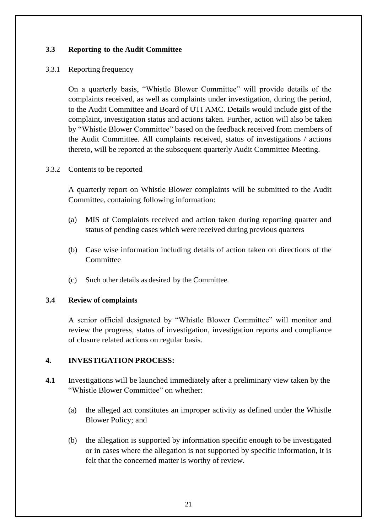## **3.3 Reporting to the Audit Committee**

#### 3.3.1 Reporting frequency

On a quarterly basis, "Whistle Blower Committee" will provide details of the complaints received, as well as complaints under investigation, during the period, to the Audit Committee and Board of UTI AMC. Details would include gist of the complaint, investigation status and actions taken. Further, action will also be taken by "Whistle Blower Committee" based on the feedback received from members of the Audit Committee. All complaints received, status of investigations / actions thereto, will be reported at the subsequent quarterly Audit Committee Meeting.

#### 3.3.2 Contents to be reported

A quarterly report on Whistle Blower complaints will be submitted to the Audit Committee, containing following information:

- (a) MIS of Complaints received and action taken during reporting quarter and status of pending cases which were received during previous quarters
- (b) Case wise information including details of action taken on directions of the Committee
- (c) Such other details as desired by the Committee.

#### **3.4 Review of complaints**

A senior official designated by "Whistle Blower Committee" will monitor and review the progress, status of investigation, investigation reports and compliance of closure related actions on regular basis.

## **4. INVESTIGATION PROCESS:**

- **4.1** Investigations will be launched immediately after a preliminary view taken by the "Whistle Blower Committee" on whether:
	- (a) the alleged act constitutes an improper activity as defined under the Whistle Blower Policy; and
	- (b) the allegation is supported by information specific enough to be investigated or in cases where the allegation is not supported by specific information, it is felt that the concerned matter is worthy of review.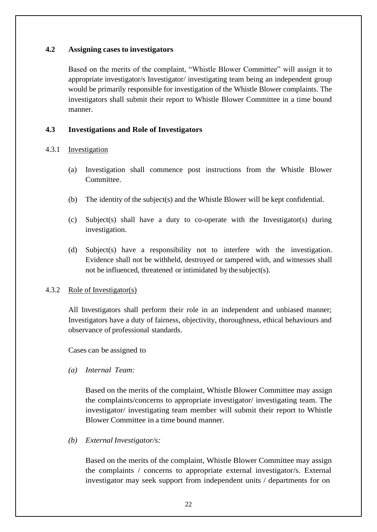#### **4.2 Assigning casesto investigators**

Based on the merits of the complaint, "Whistle Blower Committee" will assign it to appropriate investigator/s Investigator/ investigating team being an independent group would be primarily responsible for investigation of the Whistle Blower complaints. The investigators shall submit their report to Whistle Blower Committee in a time bound manner.

#### **4.3 Investigations and Role of Investigators**

#### 4.3.1 Investigation

- (a) Investigation shall commence post instructions from the Whistle Blower Committee.
- (b) The identity of the subject(s) and the Whistle Blower will be kept confidential.
- (c) Subject(s) shall have a duty to co-operate with the Investigator(s) during investigation.
- (d) Subject(s) have a responsibility not to interfere with the investigation. Evidence shall not be withheld, destroyed or tampered with, and witnesses shall not be influenced, threatened or intimidated by the subject(s).

#### 4.3.2 Role of Investigator(s)

All Investigators shall perform their role in an independent and unbiased manner; Investigators have a duty of fairness, objectivity, thoroughness, ethical behaviours and observance of professional standards.

Cases can be assigned to

*(a) Internal Team:*

Based on the merits of the complaint, Whistle Blower Committee may assign the complaints/concerns to appropriate investigator/ investigating team. The investigator/ investigating team member will submit their report to Whistle Blower Committee in a time bound manner.

*(b) External Investigator/s:*

Based on the merits of the complaint, Whistle Blower Committee may assign the complaints / concerns to appropriate external investigator/s. External investigator may seek support from independent units / departments for on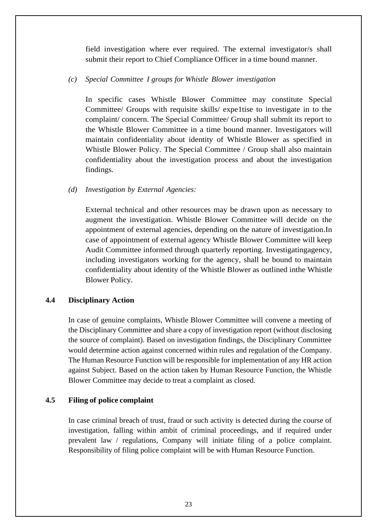field investigation where ever required. The external investigator/s shall submit their report to Chief Compliance Officer in a time bound manner.

#### *(c) Special Committee I groups for Whistle Blower investigation*

In specific cases Whistle Blower Committee may constitute Special Committee/ Groups with requisite skills/ expe1tise to investigate in to the complaint/ concern. The Special Committee/ Group shall submit its report to the Whistle Blower Committee in a time bound manner. Investigators will maintain confidentiality about identity of Whistle Blower as specified in Whistle Blower Policy. The Special Committee / Group shall also maintain confidentiality about the investigation process and about the investigation findings.

#### *(d) Investigation by External Agencies:*

External technical and other resources may be drawn upon as necessary to augment the investigation. Whistle Blower Committee will decide on the appointment of external agencies, depending on the nature of investigation.In case of appointment of external agency Whistle Blower Committee will keep Audit Committee informed through quarterly reporting. Investigatingagency, including investigators working for the agency, shall be bound to maintain confidentiality about identity of the Whistle Blower as outlined inthe Whistle Blower Policy.

#### **4.4 Disciplinary Action**

In case of genuine complaints, Whistle Blower Committee will convene a meeting of the Disciplinary Committee and share a copy of investigation report (without disclosing the source of complaint). Based on investigation findings, the Disciplinary Committee would determine action against concerned within rules and regulation of the Company. The Human Resource Function will be responsible for implementation of any HR action against Subject. Based on the action taken by Human Resource Function, the Whistle Blower Committee may decide to treat a complaint as closed.

#### **4.5 Filing of police complaint**

In case criminal breach of trust, fraud or such activity is detected during the course of investigation, falling within ambit of criminal proceedings, and if required under prevalent law / regulations, Company will initiate filing of a police complaint. Responsibility of filing police complaint will be with Human Resource Function.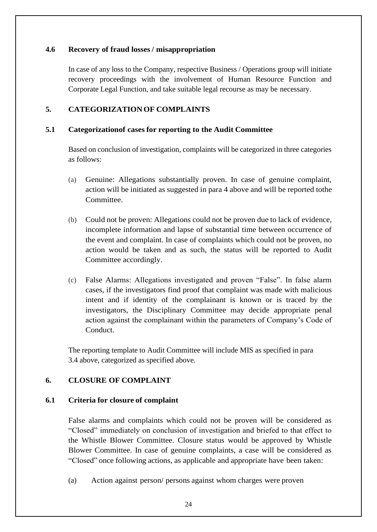#### **4.6 Recovery of fraud losses / misappropriation**

In case of any loss to the Company, respective Business / Operations group will initiate recovery proceedings with the involvement of Human Resource Function and Corporate Legal Function, and take suitable legal recourse as may be necessary.

## **5. CATEGORIZATIONOF COMPLAINTS**

#### **5.1 Categorizationof cases for reporting to the Audit Committee**

Based on conclusion of investigation, complaints will be categorized in three categories as follows:

- (a) Genuine: Allegations substantially proven. In case of genuine complaint, action will be initiated as suggested in para 4 above and will be reported tothe Committee.
- (b) Could not be proven: Allegations could not be proven due to lack of evidence, incomplete information and lapse of substantial time between occurrence of the event and complaint. In case of complaints which could not be proven, no action would be taken and as such, the status will be reported to Audit Committee accordingly.
- (c) False Alarms: Allegations investigated and proven "False". In false alarm cases, if the investigators find proof that complaint was made with malicious intent and if identity of the complainant is known or is traced by the investigators, the Disciplinary Committee may decide appropriate penal action against the complainant within the parameters of Company's Code of Conduct.

The reporting template to Audit Committee will include MIS as specified in para 3.4 above, categorized as specified above.

## **6. CLOSURE OF COMPLAINT**

#### **6.1 Criteria for closure of complaint**

False alarms and complaints which could not be proven will be considered as "Closed" immediately on conclusion of investigation and briefed to that effect to the Whistle Blower Committee. Closure status would be approved by Whistle Blower Committee. In case of genuine complaints, a case will be considered as "Closed" once following actions, as applicable and appropriate have been taken:

(a) Action against person/ persons against whom charges were proven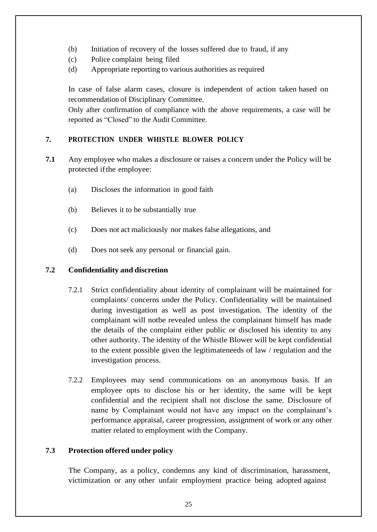- (b) Initiation of recovery of the losses suffered due to fraud, if any
- (c) Police complaint being filed
- (d) Appropriate reporting to various authorities as required

In case of false alarm cases, closure is independent of action taken based on recommendation of Disciplinary Committee.

Only after confirmation of compliance with the above requirements, a case will be reported as "Closed" to the Audit Committee.

## **7. PROTECTION UNDER WHISTLE BLOWER POLICY**

- **7.1** Any employee who makes a disclosure or raises a concern under the Policy will be protected ifthe employee:
	- (a) Discloses the information in good faith
	- (b) Believes it to be substantially true
	- (c) Does not act maliciously nor makes false allegations, and
	- (d) Does not seek any personal or financial gain.

#### **7.2 Confidentiality and discretion**

- 7.2.1 Strict confidentiality about identity of complainant will be maintained for complaints/ concerns under the Policy. Confidentiality will be maintained during investigation as well as post investigation. The identity of the complainant will notbe revealed unless the complainant himself has made the details of the complaint either public or disclosed his identity to any other authority. The identity of the Whistle Blower will be kept confidential to the extent possible given the legitimateneeds of law / regulation and the investigation process.
- 7.2.2 Employees may send communications on an anonymous basis. If an employee opts to disclose his or her identity, the same will be kept confidential and the recipient shall not disclose the same. Disclosure of name by Complainant would not have any impact on the complainant's performance appraisal, career progression, assignment of work or any other matter related to employment with the Company.

## **7.3 Protection offered under policy**

The Company, as a policy, condemns any kind of discrimination, harassment, victimization or any other unfair employment practice being adopted against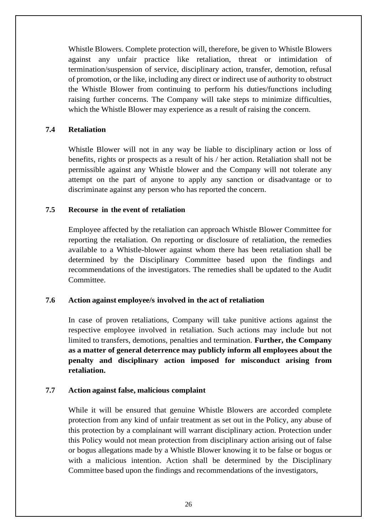Whistle Blowers. Complete protection will, therefore, be given to Whistle Blowers against any unfair practice like retaliation, threat or intimidation of termination/suspension of service, disciplinary action, transfer, demotion, refusal of promotion, or the like, including any direct or indirect use of authority to obstruct the Whistle Blower from continuing to perform his duties/functions including raising further concerns. The Company will take steps to minimize difficulties, which the Whistle Blower may experience as a result of raising the concern.

#### **7.4 Retaliation**

Whistle Blower will not in any way be liable to disciplinary action or loss of benefits, rights or prospects as a result of his / her action. Retaliation shall not be permissible against any Whistle blower and the Company will not tolerate any attempt on the part of anyone to apply any sanction or disadvantage or to discriminate against any person who has reported the concern.

#### **7.5 Recourse in the event of retaliation**

Employee affected by the retaliation can approach Whistle Blower Committee for reporting the retaliation. On reporting or disclosure of retaliation, the remedies available to a Whistle-blower against whom there has been retaliation shall be determined by the Disciplinary Committee based upon the findings and recommendations of the investigators. The remedies shall be updated to the Audit Committee.

#### **7.6 Action against employee/s involved in the act of retaliation**

In case of proven retaliations, Company will take punitive actions against the respective employee involved in retaliation. Such actions may include but not limited to transfers, demotions, penalties and termination. **Further, the Company as a matter of general deterrence may publicly inform all employees about the penalty and disciplinary action imposed for misconduct arising from retaliation.**

#### **7.7 Action against false, malicious complaint**

While it will be ensured that genuine Whistle Blowers are accorded complete protection from any kind of unfair treatment as set out in the Policy, any abuse of this protection by a complainant will warrant disciplinary action. Protection under this Policy would not mean protection from disciplinary action arising out of false or bogus allegations made by a Whistle Blower knowing it to be false or bogus or with a malicious intention. Action shall be determined by the Disciplinary Committee based upon the findings and recommendations of the investigators,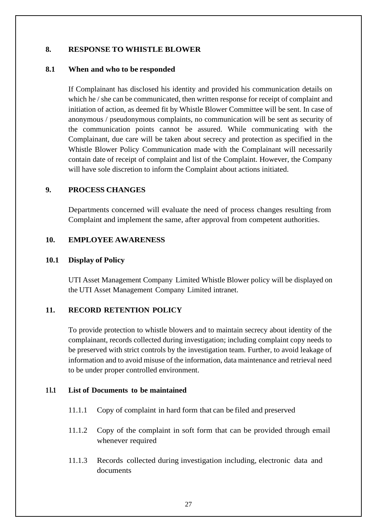#### **8. RESPONSE TO WHISTLE BLOWER**

#### **8.1 When and who to be responded**

If Complainant has disclosed his identity and provided his communication details on which he / she can be communicated, then written response for receipt of complaint and initiation of action, as deemed fit by Whistle Blower Committee will be sent. In case of anonymous / pseudonymous complaints, no communication will be sent as security of the communication points cannot be assured. While communicating with the Complainant, due care will be taken about secrecy and protection as specified in the Whistle Blower Policy Communication made with the Complainant will necessarily contain date of receipt of complaint and list of the Complaint. However, the Company will have sole discretion to inform the Complaint about actions initiated.

#### **9. PROCESS CHANGES**

Departments concerned will evaluate the need of process changes resulting from Complaint and implement the same, after approval from competent authorities.

#### **10. EMPLOYEE AWARENESS**

#### **10.1 Display of Policy**

UTI Asset Management Company Limited Whistle Blower policy will be displayed on the UTI Asset Management Company Limited intranet.

## **11. RECORD RETENTION POLICY**

To provide protection to whistle blowers and to maintain secrecy about identity of the complainant, records collected during investigation; including complaint copy needs to be preserved with strict controls by the investigation team. Further, to avoid leakage of information and to avoid misuse of the information, data maintenance and retrieval need to be under proper controlled environment.

#### **1 l.1 List of Documents to be maintained**

- 11.1.1 Copy of complaint in hard form that can be filed and preserved
- 11.1.2 Copy of the complaint in soft form that can be provided through email whenever required
- 11.1.3 Records collected during investigation including, electronic data and documents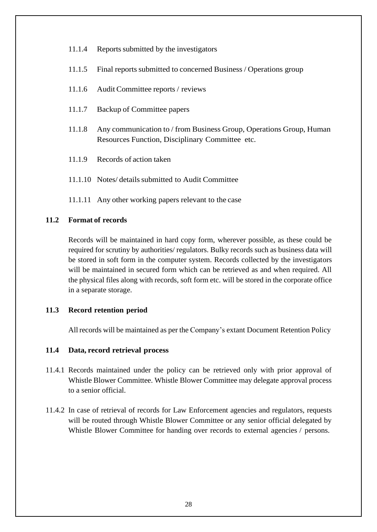- 11.1.4 Reports submitted by the investigators
- 11.1.5 Final reports submitted to concerned Business / Operations group
- 11.1.6 Audit Committee reports / reviews
- 11.1.7 Backup of Committee papers
- 11.1.8 Any communication to / from Business Group, Operations Group, Human Resources Function, Disciplinary Committee etc.
- 11.1.9 Records of action taken
- 11.1.10 Notes/ details submitted to Audit Committee
- 11.1.11 Any other working papers relevant to the case

#### **11.2 Format of records**

Records will be maintained in hard copy form, wherever possible, as these could be required for scrutiny by authorities/ regulators. Bulky records such as business data will be stored in soft form in the computer system. Records collected by the investigators will be maintained in secured form which can be retrieved as and when required. All the physical files along with records, soft form etc. will be stored in the corporate office in a separate storage.

#### **11.3 Record retention period**

All records will be maintained as per the Company's extant Document Retention Policy

#### **11.4 Data, record retrieval process**

- 11.4.1 Records maintained under the policy can be retrieved only with prior approval of Whistle Blower Committee. Whistle Blower Committee may delegate approval process to a senior official.
- 11.4.2 In case of retrieval of records for Law Enforcement agencies and regulators, requests will be routed through Whistle Blower Committee or any senior official delegated by Whistle Blower Committee for handing over records to external agencies / persons.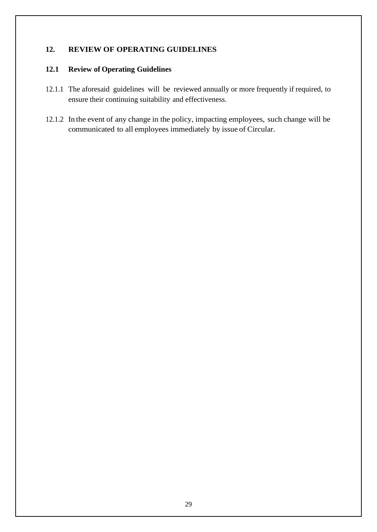## **12. REVIEW OF OPERATING GUIDELINES**

#### **12.1 Review of Operating Guidelines**

- 12.1.1 The aforesaid guidelines will be reviewed annually or more frequently if required, to ensure their continuing suitability and effectiveness.
- 12.1.2 In the event of any change in the policy, impacting employees, such change will be communicated to all employees immediately by issue of Circular.